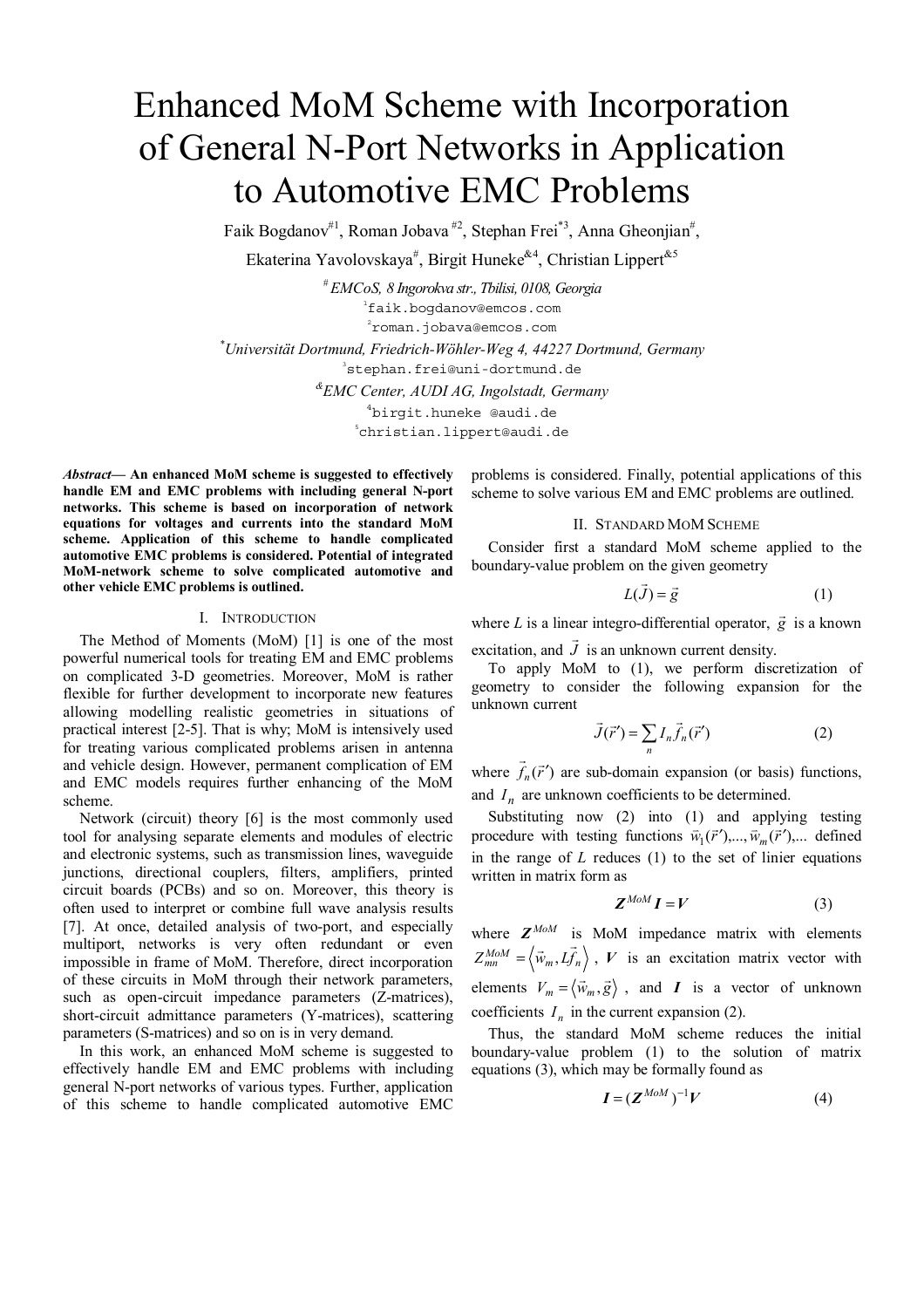# Enhanced MoM Scheme with Incorporation of General N-Port Networks in Application to Automotive EMC Problems

Faik Bogdanov<sup>#1</sup>, Roman Jobava<sup>#2</sup>, Stephan Frei<sup>\*3</sup>, Anna Gheonjian<sup>#</sup>,

Ekaterina Yavolovskaya<sup>#</sup>, Birgit Huneke<sup>&4</sup>, Christian Lippert<sup>&5</sup>

*# EMCoS, 8 Ingorokva str., Tbilisi, 0108, Georgia* 1 faik.bogdanov@emcos.com  $^{2}$ roman.jobava@emcos.com *\* Universität Dortmund, Friedrich-Wöhler-Weg 4, 44227 Dortmund, Germany* 3 stephan.frei@uni-dortmund.de *&EMC Center, AUDI AG, Ingolstadt, Germany* <sup>4</sup>birgit.huneke @audi.de christian.lippert@audi.de

*Abstract***— An enhanced MoM scheme is suggested to effectively handle EM and EMC problems with including general N-port networks. This scheme is based on incorporation of network equations for voltages and currents into the standard MoM scheme. Application of this scheme to handle complicated automotive EMC problems is considered. Potential of integrated MoM-network scheme to solve complicated automotive and other vehicle EMC problems is outlined.** 

## I. INTRODUCTION

The Method of Moments (MoM) [1] is one of the most powerful numerical tools for treating EM and EMC problems on complicated 3-D geometries. Moreover, MoM is rather flexible for further development to incorporate new features allowing modelling realistic geometries in situations of practical interest [2-5]. That is why; MoM is intensively used for treating various complicated problems arisen in antenna and vehicle design. However, permanent complication of EM and EMC models requires further enhancing of the MoM scheme.

Network (circuit) theory [6] is the most commonly used tool for analysing separate elements and modules of electric and electronic systems, such as transmission lines, waveguide junctions, directional couplers, filters, amplifiers, printed circuit boards (PCBs) and so on. Moreover, this theory is often used to interpret or combine full wave analysis results [7]. At once, detailed analysis of two-port, and especially multiport, networks is very often redundant or even impossible in frame of MoM. Therefore, direct incorporation of these circuits in MoM through their network parameters, such as open-circuit impedance parameters (Z-matrices), short-circuit admittance parameters (Y-matrices), scattering parameters (S-matrices) and so on is in very demand.

In this work, an enhanced MoM scheme is suggested to effectively handle EM and EMC problems with including general N-port networks of various types. Further, application of this scheme to handle complicated automotive EMC

problems is considered. Finally, potential applications of this scheme to solve various EM and EMC problems are outlined.

### II. STANDARD MOM SCHEME

Consider first a standard MoM scheme applied to the boundary-value problem on the given geometry

$$
L(\vec{J}) = \vec{g} \tag{1}
$$

where *L* is a linear integro-differential operator,  $\vec{g}$  is a known G

excitation, and *J* is an unknown current density. To apply MoM to (1), we perform discretization of geometry to consider the following expansion for the unknown current

$$
\vec{J}(\vec{r}') = \sum_{n} I_n \vec{f}_n(\vec{r}')
$$
 (2)

where  $\overrightarrow{f}_n(\overrightarrow{r}')$  are sub-domain expansion (or basis) functions, and  $I_n$  are unknown coefficients to be determined.

Substituting now (2) into (1) and applying testing procedure with testing functions  $\vec{w}_1(\vec{r}')$ ,...,  $\vec{w}_m(\vec{r}')$ ,... defined in the range of *L* reduces (1) to the set of linier equations written in matrix form as

$$
Z^{M o M} I = V \tag{3}
$$

where  $Z^{M o M}$  is MoM impedance matrix with elements  $Z_{mn}^{MOM} = \langle \vec{w}_m, L \vec{f}_n \rangle$ , *V* is an excitation matrix vector with elements  $V_m = \langle \vec{w}_m, \vec{g} \rangle$ , and *I* is a vector of unknown coefficients  $I_n$  in the current expansion (2).

Thus, the standard MoM scheme reduces the initial boundary-value problem (1) to the solution of matrix equations (3), which may be formally found as

$$
I = (Z^{M o M})^{-1} V \tag{4}
$$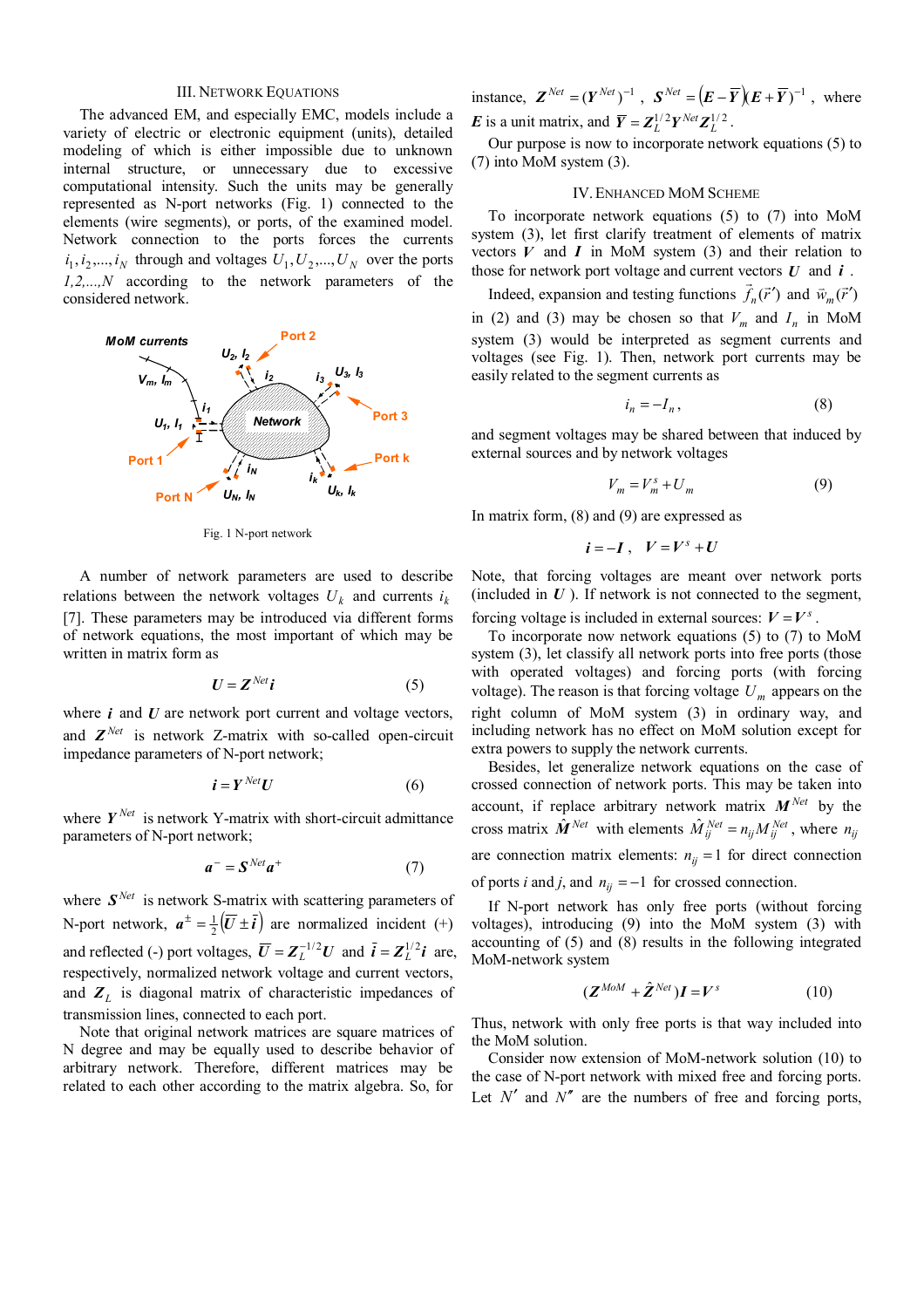## III. NETWORK EQUATIONS

The advanced EM, and especially EMC, models include a variety of electric or electronic equipment (units), detailed modeling of which is either impossible due to unknown internal structure, or unnecessary due to excessive computational intensity. Such the units may be generally represented as N-port networks (Fig. 1) connected to the elements (wire segments), or ports, of the examined model. Network connection to the ports forces the currents  $i_1, i_2, \ldots, i_N$  through and voltages  $U_1, U_2, \ldots, U_N$  over the ports *1,2,...,N* according to the network parameters of the considered network.



Fig. 1 N-port network

A number of network parameters are used to describe relations between the network voltages  $U_k$  and currents  $i_k$ [7]. These parameters may be introduced via different forms of network equations, the most important of which may be written in matrix form as

$$
U = Z^{Net}i
$$
 (5)

where *i* and *U* are network port current and voltage vectors, and  $Z^{Net}$  is network Z-matrix with so-called open-circuit impedance parameters of N-port network;

$$
\boldsymbol{i} = \boldsymbol{Y}^{Net} \boldsymbol{U} \tag{6}
$$

where  $Y^{Net}$  is network Y-matrix with short-circuit admittance parameters of N-port network;

$$
a^- = S^{Net} a^+ \tag{7}
$$

where  $S^{Net}$  is network S-matrix with scattering parameters of N-port network,  $a^{\pm} = \frac{1}{2}(\overline{U} \pm \overline{i})$  are normalized incident (+) and reflected (-) port voltages,  $\overline{U} = Z_L^{-1/2}U$  and  $\overline{i} = Z_L^{1/2}i$  are, respectively, normalized network voltage and current vectors, and  $Z_L$  is diagonal matrix of characteristic impedances of transmission lines, connected to each port.

Note that original network matrices are square matrices of N degree and may be equally used to describe behavior of arbitrary network. Therefore, different matrices may be related to each other according to the matrix algebra. So, for instance,  $\mathbf{Z}^{Net} = (\mathbf{Y}^{Net})^{-1}$ ,  $\mathbf{S}^{Net} = (\mathbf{E} - \overline{\mathbf{Y}})(\mathbf{E} + \overline{\mathbf{Y}})^{-1}$ , where *E* is a unit matrix, and  $\overline{Y} = Z_L^{1/2} Y^{Net} Z_L^{1/2}$ .

Our purpose is now to incorporate network equations (5) to (7) into MoM system (3).

## IV.ENHANCED MOM SCHEME

To incorporate network equations (5) to (7) into MoM system (3), let first clarify treatment of elements of matrix vectors  $V$  and  $I$  in MoM system  $(3)$  and their relation to those for network port voltage and current vectors *U* and *i* .

Indeed, expansion and testing functions  $\vec{f}_n(\vec{r}')$  and  $\vec{w}_m(\vec{r}')$ in (2) and (3) may be chosen so that  $V_m$  and  $I_n$  in MoM system (3) would be interpreted as segment currents and voltages (see Fig. 1). Then, network port currents may be easily related to the segment currents as

$$
i_n = -I_n,\tag{8}
$$

and segment voltages may be shared between that induced by external sources and by network voltages

$$
V_m = V_m^s + U_m \tag{9}
$$

In matrix form, (8) and (9) are expressed as

$$
i=-I\,,\quad V=V^s+U
$$

Note, that forcing voltages are meant over network ports (included in  $U$ ). If network is not connected to the segment,

forcing voltage is included in external sources:  $V = V<sup>s</sup>$ .

To incorporate now network equations (5) to (7) to MoM system (3), let classify all network ports into free ports (those with operated voltages) and forcing ports (with forcing voltage). The reason is that forcing voltage  $U_m$  appears on the right column of MoM system (3) in ordinary way, and including network has no effect on MoM solution except for extra powers to supply the network currents.

Besides, let generalize network equations on the case of crossed connection of network ports. This may be taken into account, if replace arbitrary network matrix  $M^{Net}$  by the cross matrix  $\hat{\mathbf{M}}_{i}^{Net}$  with elements  $\hat{M}_{ij}^{Net} = n_{ij} M_{ij}^{Net}$ , where  $n_{ij}$ are connection matrix elements:  $n_{ij} = 1$  for direct connection of ports *i* and *j*, and  $n_{ij} = -1$  for crossed connection.

If N-port network has only free ports (without forcing voltages), introducing (9) into the MoM system (3) with accounting of (5) and (8) results in the following integrated MoM-network system

$$
(\mathbf{Z}^{M o M} + \hat{\mathbf{Z}}^{Net})\mathbf{I} = V^s \tag{10}
$$

Thus, network with only free ports is that way included into the MoM solution.

Consider now extension of MoM-network solution (10) to the case of N-port network with mixed free and forcing ports. Let  $N'$  and  $N''$  are the numbers of free and forcing ports,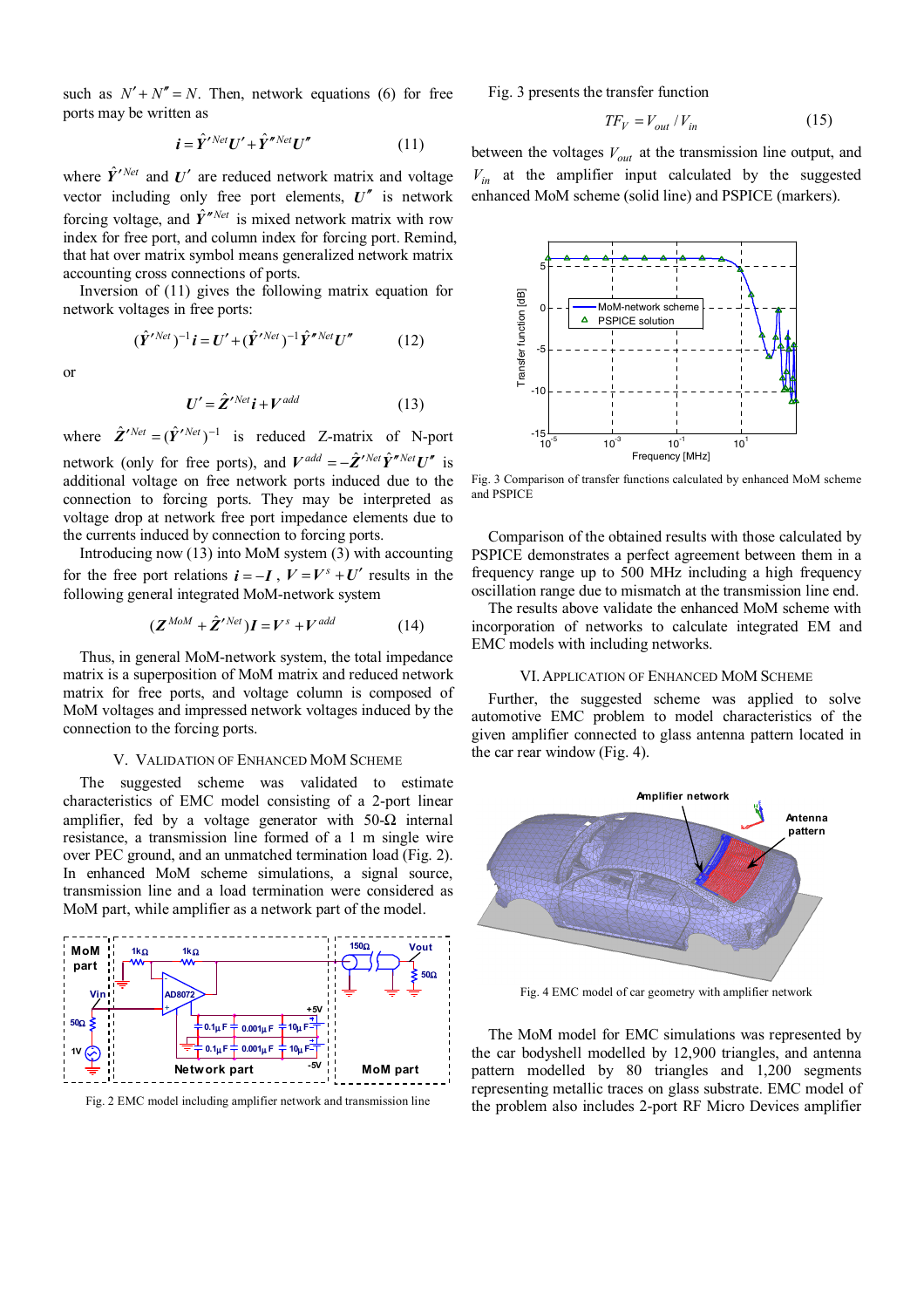such as  $N' + N'' = N$ . Then, network equations (6) for free ports may be written as

$$
\mathbf{i} = \hat{Y}^{\prime \text{Net}} U^{\prime} + \hat{Y}^{\prime \text{Net}} U^{\prime \prime}
$$
 (11)

where  $\hat{Y}^{\prime$  *Net* and  $U^{\prime}$  are reduced network matrix and voltage vector including only free port elements,  $U''$  is network forcing voltage, and  $\hat{Y}^{\prime\prime\text{Net}}$  is mixed network matrix with row index for free port, and column index for forcing port. Remind, that hat over matrix symbol means generalized network matrix accounting cross connections of ports.

Inversion of (11) gives the following matrix equation for network voltages in free ports:

$$
(\hat{\boldsymbol{Y}}^{\prime Net})^{-1}\boldsymbol{i} = \boldsymbol{U}^{\prime} + (\hat{\boldsymbol{Y}}^{\prime Net})^{-1}\hat{\boldsymbol{Y}}^{\prime\prime Net}\boldsymbol{U}^{\prime\prime}
$$
 (12)

or

$$
U' = \hat{Z}'^{Net} i + V^{add} \tag{13}
$$

where  $\hat{Z}'^{Net} = (\hat{Y}'^{Net})^{-1}$  is reduced Z-matrix of N-port network (only for free ports), and  $V^{add} = -\hat{Z}^{\prime Net} \hat{Y}^{\prime\prime Net} U^{\prime\prime}$  is additional voltage on free network ports induced due to the connection to forcing ports. They may be interpreted as voltage drop at network free port impedance elements due to the currents induced by connection to forcing ports.

Introducing now (13) into MoM system (3) with accounting for the free port relations  $\mathbf{i} = -\mathbf{I}$ ,  $V = V^s + U'$  results in the following general integrated MoM-network system

$$
(\mathbf{Z}^{M o M} + \hat{\mathbf{Z}}^{\prime Net}) \mathbf{I} = V^s + V^{add} \tag{14}
$$

Thus, in general MoM-network system, the total impedance matrix is a superposition of MoM matrix and reduced network matrix for free ports, and voltage column is composed of MoM voltages and impressed network voltages induced by the connection to the forcing ports.

## V. VALIDATION OF ENHANCED MOM SCHEME

The suggested scheme was validated to estimate characteristics of EMC model consisting of a 2-port linear amplifier, fed by a voltage generator with  $50-\Omega$  internal resistance, a transmission line formed of a 1 m single wire over PEC ground, and an unmatched termination load (Fig. 2). In enhanced MoM scheme simulations, a signal source, transmission line and a load termination were considered as MoM part, while amplifier as a network part of the model.



Fig. 2 EMC model including amplifier network and transmission line

Fig. 3 presents the transfer function

$$
TF_V = V_{out} / V_{in} \tag{15}
$$

between the voltages  $V_{out}$  at the transmission line output, and  $V_{in}$  at the amplifier input calculated by the suggested enhanced MoM scheme (solid line) and PSPICE (markers).



Fig. 3 Comparison of transfer functions calculated by enhanced MoM scheme and PSPICE

Comparison of the obtained results with those calculated by PSPICE demonstrates a perfect agreement between them in a frequency range up to 500 MHz including a high frequency oscillation range due to mismatch at the transmission line end.

The results above validate the enhanced MoM scheme with incorporation of networks to calculate integrated EM and EMC models with including networks.

### VI.APPLICATION OF ENHANCED MOM SCHEME

Further, the suggested scheme was applied to solve automotive EMC problem to model characteristics of the given amplifier connected to glass antenna pattern located in the car rear window (Fig. 4).



Fig. 4 EMC model of car geometry with amplifier network

The MoM model for EMC simulations was represented by the car bodyshell modelled by 12,900 triangles, and antenna pattern modelled by 80 triangles and 1,200 segments representing metallic traces on glass substrate. EMC model of the problem also includes 2-port RF Micro Devices amplifier